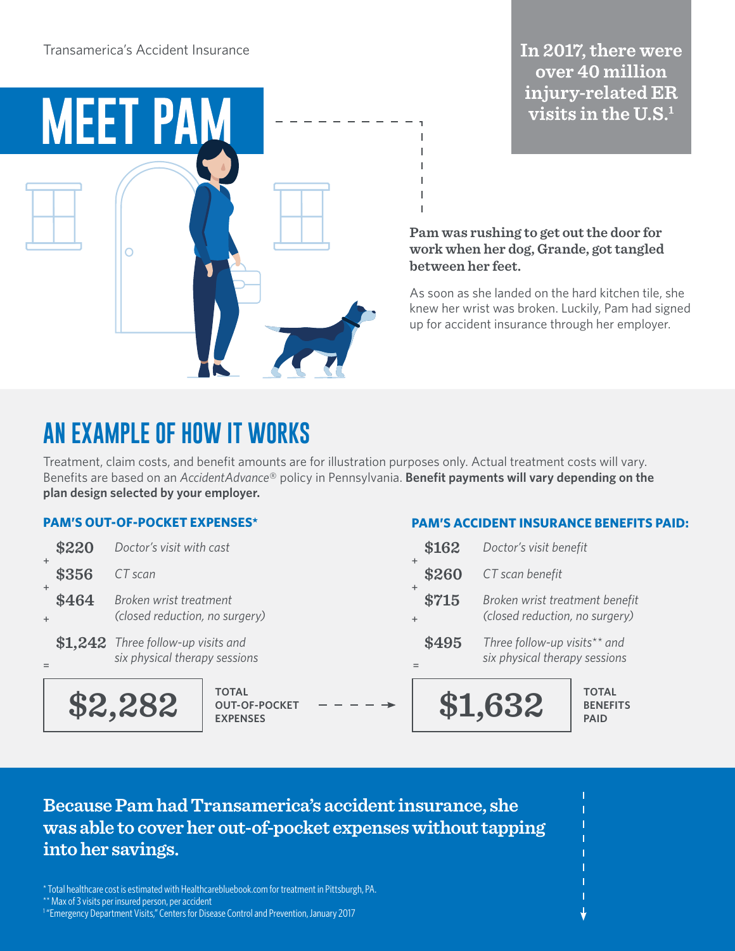

### In 2017, there were over 40 million injury-related ER visits in the  $U.S.^1$

**Pam was rushing to get out the door for work when her dog, Grande, got tangled between her feet.** 

As soon as she landed on the hard kitchen tile, she knew her wrist was broken. Luckily, Pam had signed up for accident insurance through her employer.

**PAM'S ACCIDENT INSURANCE BENEFITS PAID:**

## **AN EXAMPLE OF HOW IT WORKS**

Treatment, claim costs, and benefit amounts are for illustration purposes only. Actual treatment costs will vary. Benefits are based on an *AccidentAdvance*® policy in Pennsylvania. **Benefit payments will vary depending on the plan design selected by your employer.**

### **PAM'S OUT-OF-POCKET EXPENSES\***

|                    | \$2,282                                                             | <b>TOTAL</b><br><b>OUT-OF-POCKET</b><br><b>EXPENSES</b> |       |       | \$1,632                                                          | <b>TOTAL</b><br><b>BENEFITS</b><br><b>PAID</b>                |  |
|--------------------|---------------------------------------------------------------------|---------------------------------------------------------|-------|-------|------------------------------------------------------------------|---------------------------------------------------------------|--|
|                    | \$1,242 Three follow-up visits and<br>six physical therapy sessions |                                                         |       | \$495 |                                                                  | Three follow-up visits** and<br>six physical therapy sessions |  |
| \$464<br>$\ddot{}$ | Broken wrist treatment<br>(closed reduction, no surgery)            |                                                         | \$715 |       | Broken wrist treatment benefit<br>(closed reduction, no surgery) |                                                               |  |
| $\pm$<br>\$356     | CT scan                                                             |                                                         |       | \$260 | CT scan benefit                                                  |                                                               |  |
| \$220              | Doctor's visit with cast                                            |                                                         |       | \$162 | Doctor's visit benefit                                           |                                                               |  |

### **Because Pam had Transamerica's accident insurance, she was able to cover her out-of-pocket expenses without tapping into her savings.**

\* Total healthcare cost is estimated with Healthcarebluebook.com for treatment in Pittsburgh, PA. \*\* Max of 3 visits per insured person, per accident

<sup>1</sup> "Emergency Department Visits," Centers for Disease Control and Prevention, January 2017